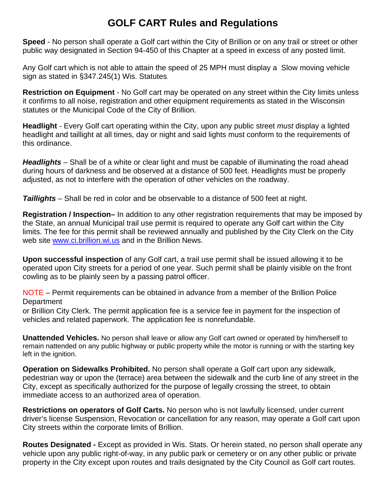## **GOLF CART Rules and Regulations**

**Speed** - No person shall operate a Golf cart within the City of Brillion or on any trail or street or other public way designated in Section 94-450 of this Chapter at a speed in excess of any posted limit.

Any Golf cart which is not able to attain the speed of 25 MPH must display a Slow moving vehicle sign as stated in §347.245(1) Wis. Statutes.

**Restriction on Equipment** - No Golf cart may be operated on any street within the City limits unless it confirms to all noise, registration and other equipment requirements as stated in the Wisconsin statutes or the Municipal Code of the City of Brillion.

**Headlight** - Every Golf cart operating within the City, upon any public street *must* display a lighted headlight and taillight at all times, day or night and said lights must conform to the requirements of this ordinance.

*Headlights* – Shall be of a white or clear light and must be capable of illuminating the road ahead during hours of darkness and be observed at a distance of 500 feet. Headlights must be properly adjusted, as not to interfere with the operation of other vehicles on the roadway.

*Taillights* – Shall be red in color and be observable to a distance of 500 feet at night.

**Registration / Inspection–** In addition to any other registration requirements that may be imposed by the State, an annual Municipal trail use permit is required to operate any Golf cart within the City limits. The fee for this permit shall be reviewed annually and published by the City Clerk on the City web site [www.ci.brillion.wi.us](http://www.ci.brillion.wi.us/) and in the Brillion News.

**Upon successful inspection** of any Golf cart, a trail use permit shall be issued allowing it to be operated upon City streets for a period of one year. Such permit shall be plainly visible on the front cowling as to be plainly seen by a passing patrol officer.

NOTE – Permit requirements can be obtained in advance from a member of the Brillion Police **Department** 

or Brillion City Clerk. The permit application fee is a service fee in payment for the inspection of vehicles and related paperwork. The application fee is nonrefundable.

**Unattended Vehicles.** No person shall leave or allow any Golf cart owned or operated by him/herself to remain nattended on any public highway or public property while the motor is running or with the starting key left in the ignition.

**Operation on Sidewalks Prohibited.** No person shall operate a Golf cart upon any sidewalk, pedestrian way or upon the (terrace) area between the sidewalk and the curb line of any street in the City, except as specifically authorized for the purpose of legally crossing the street, to obtain immediate access to an authorized area of operation.

**Restrictions on operators of Golf Carts.** No person who is not lawfully licensed, under current driver's license Suspension, Revocation or cancellation for any reason, may operate a Golf cart upon City streets within the corporate limits of Brillion.

**Routes Designated -** Except as provided in Wis. Stats. Or herein stated, no person shall operate any vehicle upon any public right-of-way, in any public park or cemetery or on any other public or private property in the City except upon routes and trails designated by the City Council as Golf cart routes.